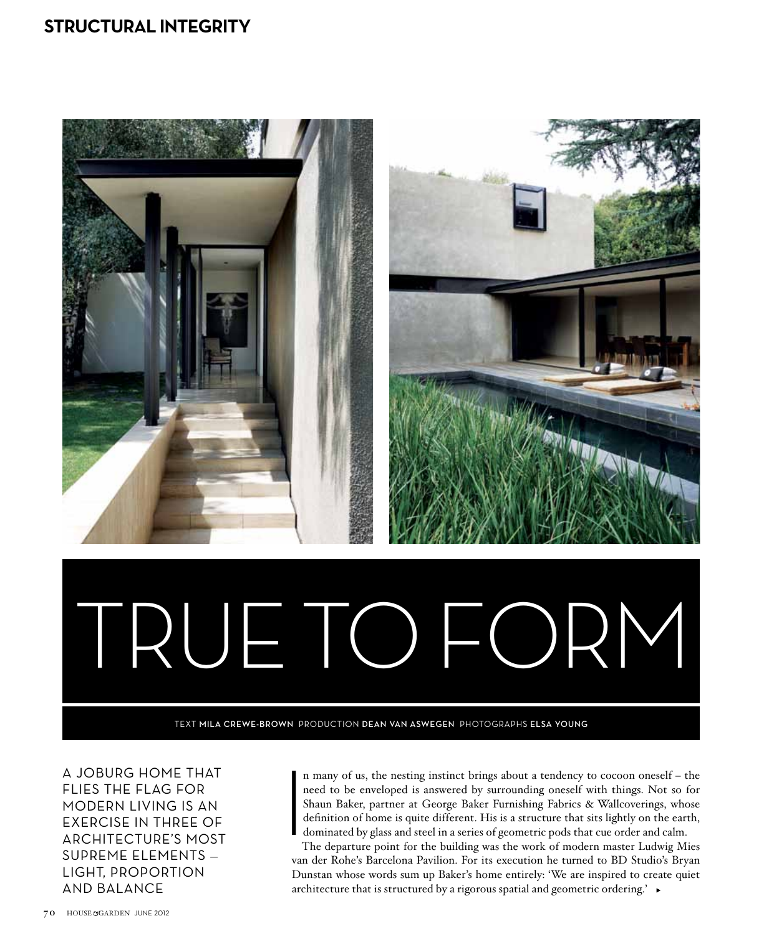## **structural integrity**



A Joburg home that flies the flag for modern living is an exercise in three of architecture's most supreme elements light, proportion and balance

n many of us, the nesting instinct brings about a tendency to cocoon oneself – the need to be enveloped is answered by surrounding oneself with things. Not so for Shaun Baker, partner at George Baker Furnishing Fabrics & Wallcoverings, whose definition of home is quite different. His is a structure that sits lightly on the earth, dominated by glass and steel in a series of geometric pods that cue order and calm.  $\begin{array}{c}\n\text{I} \\
\text{I} \\
\text{S} \\
\text{I} \\
\text{I} \\
\text{I}\n\end{array}$ 

The departure point for the building was the work of modern master Ludwig Mies van der Rohe's Barcelona Pavilion. For its execution he turned to BD Studio's Bryan Dunstan whose words sum up Baker's home entirely: 'We are inspired to create quiet architecture that is structured by a rigorous spatial and geometric ordering.'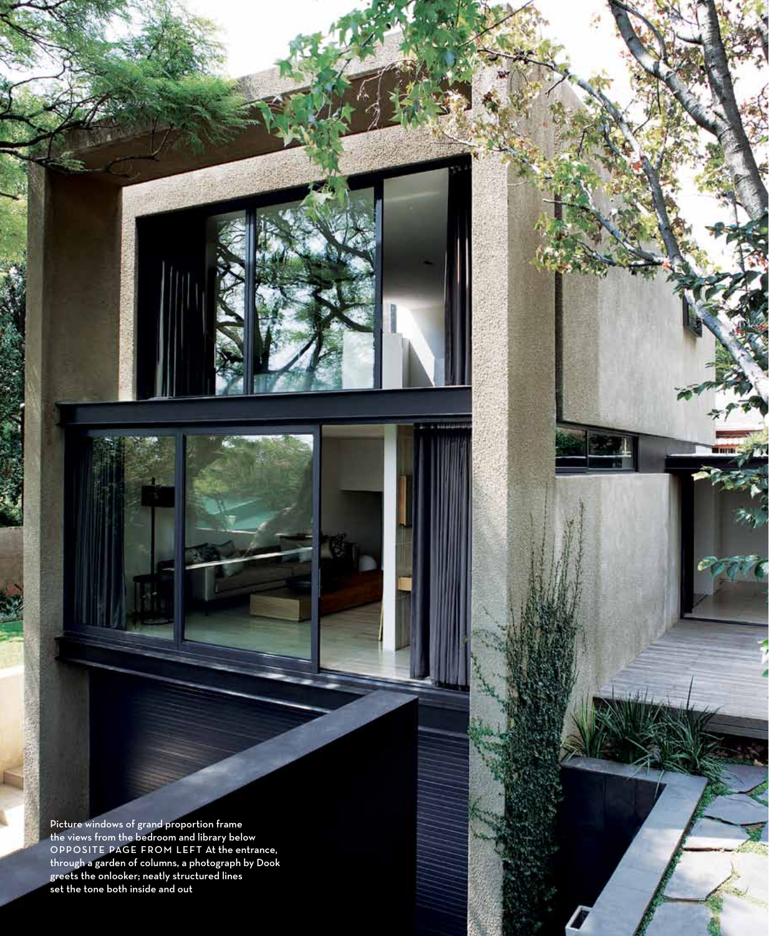Picture windows of grand proportion frame the views from the bedroom and library below<br>OPPOSITE PAGE FROM LEFT At the entrance, through a garden of columns, a photograph by Dook greets the onlooker; neatly structured lines set the tone both inside and out

june 2012 house garden 000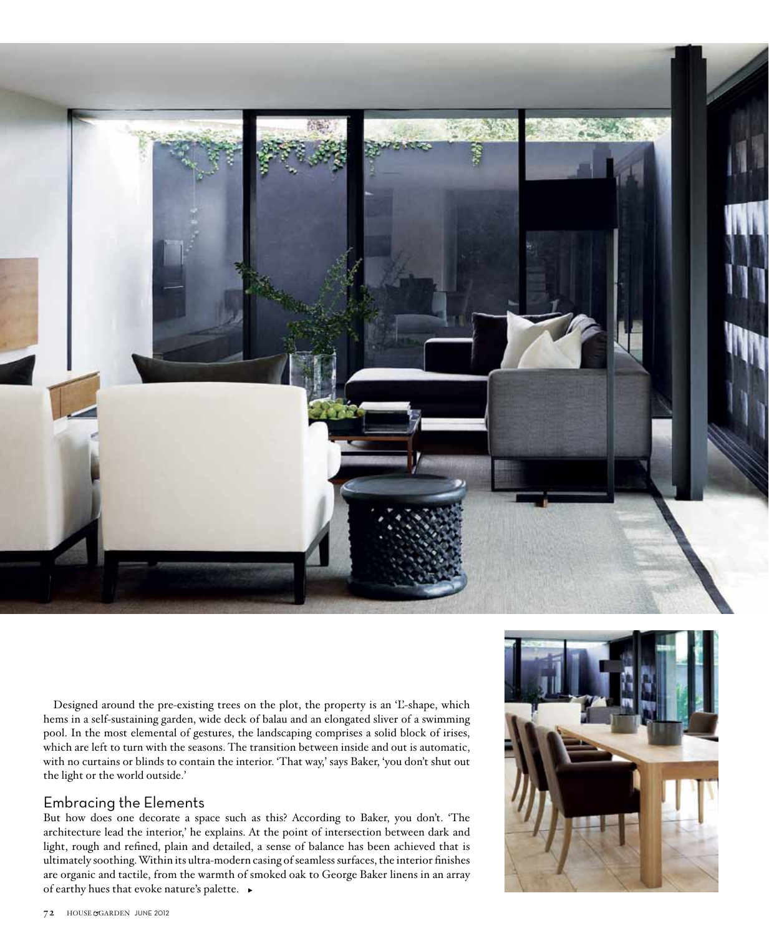

Designed around the pre-existing trees on the plot, the property is an 'L'-shape, which hems in a self-sustaining garden, wide deck of balau and an elongated sliver of a swimming pool. In the most elemental of gestures, the landscaping comprises a solid block of irises, which are left to turn with the seasons. The transition between inside and out is automatic, with no curtains or blinds to contain the interior. 'That way,' says Baker, 'you don't shut out the light or the world outside.'

## Embracing the Elements

But how does one decorate a space such as this? According to Baker, you don't. 'The architecture lead the interior,' he explains. At the point of intersection between dark and light, rough and refined, plain and detailed, a sense of balance has been achieved that is ultimately soothing. Within its ultra-modern casing of seamless surfaces, the interior finishes are organic and tactile, from the warmth of smoked oak to George Baker linens in an array of earthy hues that evoke nature's palette.

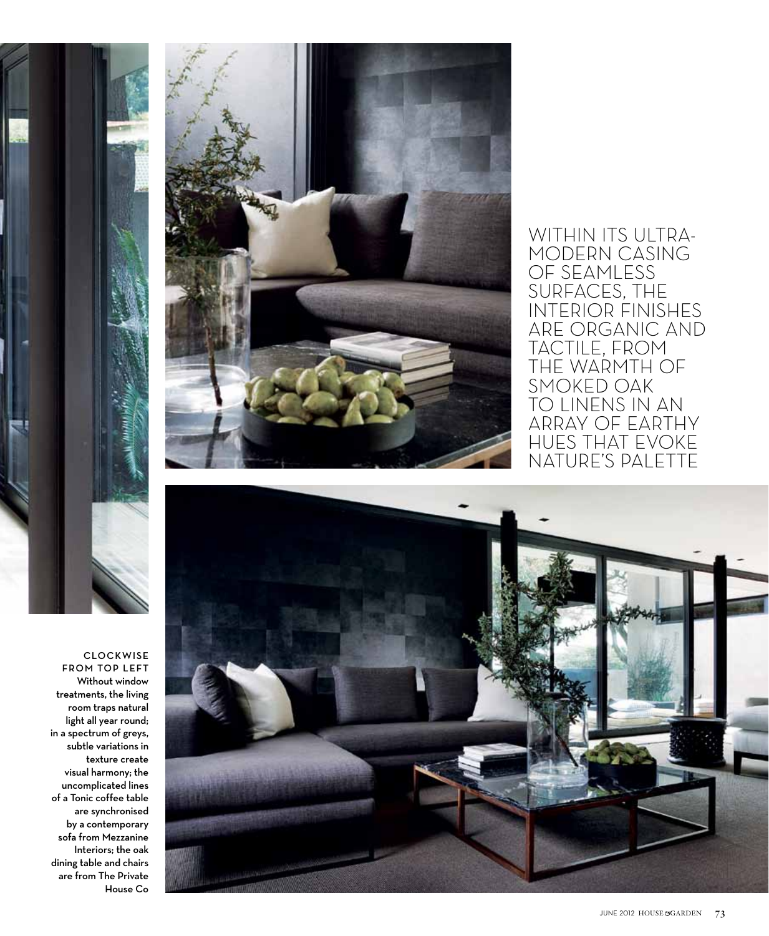

clockwise from to p left Without window treatments, the living room traps natural light all year round; in a spectrum of greys, subtle variations in texture create visual harmony; the uncomplicated lines of a Tonic coffee table are synchronised by a contemporary sofa from Mezzanine Interiors; the oak dining table and chairs are from The Private House Co C



WITHIN ITS ULTRAmodern casing of seamless surfaces, the interior finishes are organic and tactile, from the warmth of smoked oak to linens in an array of earthy hues that evoke nature's palette



june 2012 house garden 73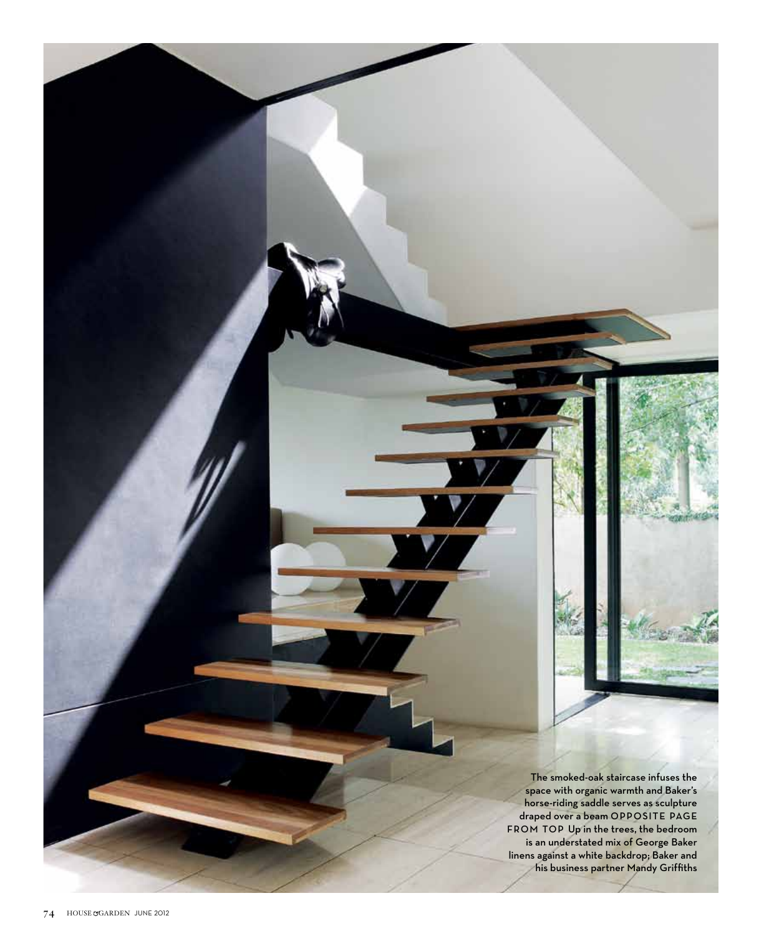The smoked-oak staircase infuses the space with organic warmth and Baker's horse-riding saddle serves as sculpture draped over a beam OPPOSITE PA FROM TOP Up in the trees, the bedroom is an understated mix of George Baker linens against a white backdrop; Baker and his business partner Mandy Griffiths